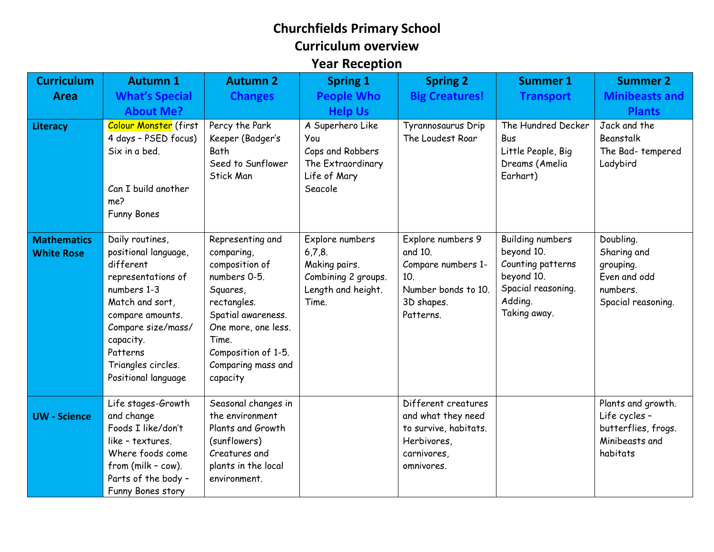## **Churchfields Primary School Curriculum overview Year Reception**

| <b>Curriculum</b>                       | <b>Autumn 1</b>                                                                                                                                                                                                              | <b>Autumn 2</b>                                                                                                                                                                                            | <b>Spring 1</b>                                                                                  | <b>Spring 2</b>                                                                                                | <b>Summer 1</b>                                                                                                           | <b>Summer 2</b>                                                                          |
|-----------------------------------------|------------------------------------------------------------------------------------------------------------------------------------------------------------------------------------------------------------------------------|------------------------------------------------------------------------------------------------------------------------------------------------------------------------------------------------------------|--------------------------------------------------------------------------------------------------|----------------------------------------------------------------------------------------------------------------|---------------------------------------------------------------------------------------------------------------------------|------------------------------------------------------------------------------------------|
| <b>Area</b>                             | <b>What's Special</b>                                                                                                                                                                                                        | <b>Changes</b>                                                                                                                                                                                             | <b>People Who</b>                                                                                | <b>Big Creatures!</b>                                                                                          | <b>Transport</b>                                                                                                          | <b>Minibeasts and</b>                                                                    |
|                                         | <b>About Me?</b>                                                                                                                                                                                                             |                                                                                                                                                                                                            | <b>Help Us</b>                                                                                   |                                                                                                                |                                                                                                                           | <b>Plants</b>                                                                            |
| <b>Literacy</b>                         | Colour Monster (first<br>4 days - PSED focus)<br>Six in a bed.<br>Can I build another<br>me?<br><b>Funny Bones</b>                                                                                                           | Percy the Park<br>Keeper (Badger's<br>Bath<br>Seed to Sunflower<br><b>Stick Man</b>                                                                                                                        | A Superhero Like<br>You<br>Cops and Robbers<br>The Extraordinary<br>Life of Mary<br>Seacole      | Tyrannosaurus Drip<br>The Loudest Roar                                                                         | The Hundred Decker<br>Bus<br>Little People, Big<br>Dreams (Amelia<br>Earhart)                                             | Jack and the<br>Beanstalk<br>The Bad-tempered<br>Ladybird                                |
| <b>Mathematics</b><br><b>White Rose</b> | Daily routines,<br>positional language,<br>different<br>representations of<br>numbers 1-3<br>Match and sort,<br>compare amounts.<br>Compare size/mass/<br>capacity.<br>Patterns<br>Triangles circles.<br>Positional language | Representing and<br>comparing,<br>composition of<br>numbers 0-5.<br>Squares,<br>rectangles.<br>Spatial awareness.<br>One more, one less.<br>Time.<br>Composition of 1-5.<br>Comparing mass and<br>capacity | Explore numbers<br>6,7,8.<br>Making pairs.<br>Combining 2 groups.<br>Length and height.<br>Time. | Explore numbers 9<br>and 10.<br>Compare numbers 1-<br>10.<br>Number bonds to 10.<br>3D shapes.<br>Patterns.    | <b>Building numbers</b><br>beyond 10.<br>Counting patterns<br>beyond 10.<br>Spacial reasoning.<br>Adding.<br>Taking away. | Doubling.<br>Sharing and<br>grouping.<br>Even and odd<br>numbers.<br>Spacial reasoning.  |
| <b>UW</b> - Science                     | Life stages-Growth<br>and change<br>Foods I like/don't<br>like - textures.<br>Where foods come<br>from (milk - cow).<br>Parts of the body -<br>Funny Bones story                                                             | Seasonal changes in<br>the environment<br>Plants and Growth<br>(sunflowers)<br>Creatures and<br>plants in the local<br>environment.                                                                        |                                                                                                  | Different creatures<br>and what they need<br>to survive, habitats.<br>Herbivores,<br>carnivores,<br>omnivores. |                                                                                                                           | Plants and growth.<br>Life cycles -<br>butterflies, frogs.<br>Minibeasts and<br>habitats |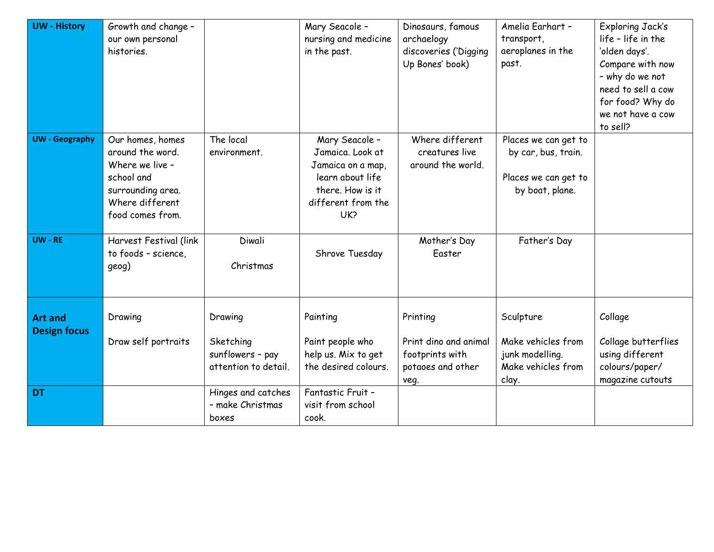| <b>UW</b> - History                   | Growth and change -<br>our own personal<br>histories.                                                                             |                                                                  | Mary Seacole -<br>nursing and medicine<br>in the past.                                                                       | Dinosaurs, famous<br>archaelogy<br>discoveries ('Digging<br>Up Bones' book)       | Amelia Earhart -<br>transport,<br>aeroplanes in the<br>past.                           | <b>Exploring Jack's</b><br>life - life in the<br>'olden days'.<br>Compare with now<br>- why do we not<br>need to sell a cow<br>for food? Why do<br>we not have a cow<br>to sell? |
|---------------------------------------|-----------------------------------------------------------------------------------------------------------------------------------|------------------------------------------------------------------|------------------------------------------------------------------------------------------------------------------------------|-----------------------------------------------------------------------------------|----------------------------------------------------------------------------------------|----------------------------------------------------------------------------------------------------------------------------------------------------------------------------------|
| <b>UW</b> - Geography                 | Our homes, homes<br>around the word.<br>Where we live -<br>school and<br>surrounding area.<br>Where different<br>food comes from. | The local<br>environment.                                        | Mary Seacole -<br>Jamaica. Look at<br>Jamaica on a map,<br>learn about life<br>there. How is it<br>different from the<br>UK? | Where different<br>creatures live<br>around the world.                            | Places we can get to<br>by car, bus, train.<br>Places we can get to<br>by boat, plane. |                                                                                                                                                                                  |
| UW - RE                               | Harvest Festival (link<br>to foods - science,<br>geog)                                                                            | Diwali<br>Christmas                                              | Shrove Tuesday                                                                                                               | Mother's Day<br>Easter                                                            | Father's Day                                                                           |                                                                                                                                                                                  |
| <b>Art and</b><br><b>Design focus</b> | Drawing<br>Draw self portraits                                                                                                    | Drawing<br>Sketching<br>sunflowers - pay<br>attention to detail. | Painting<br>Paint people who<br>help us. Mix to get<br>the desired colours.                                                  | Printing<br>Print dino and animal<br>footprints with<br>potaoes and other<br>veg. | Sculpture<br>Make vehicles from<br>junk modelling.<br>Make vehicles from<br>clay.      | Collage<br>Collage butterflies<br>using different<br>colours/paper/<br>magazine cutouts                                                                                          |
| <b>DT</b>                             |                                                                                                                                   | Hinges and catches<br>- make Christmas<br>boxes                  | Fantastic Fruit -<br>visit from school<br>cook.                                                                              |                                                                                   |                                                                                        |                                                                                                                                                                                  |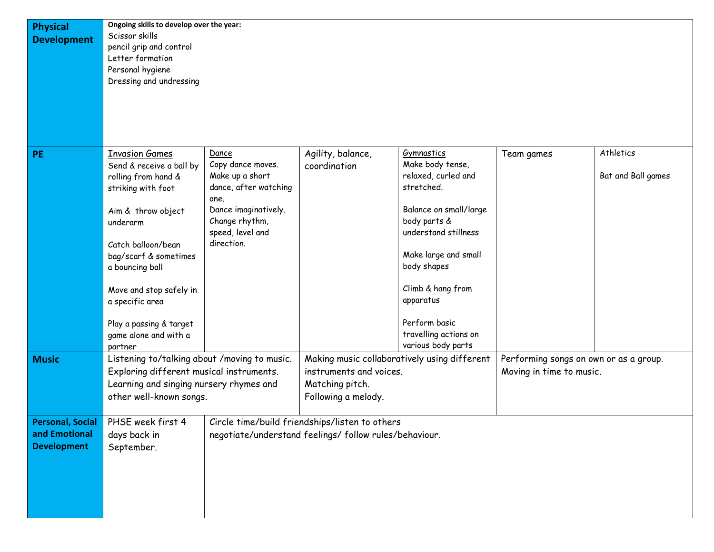| <b>Physical</b><br><b>Development</b> | Ongoing skills to develop over the year:<br>Scissor skills<br>pencil grip and control<br>Letter formation<br>Personal hygiene |                                        |                                                        |                                                              |                                        |                    |  |
|---------------------------------------|-------------------------------------------------------------------------------------------------------------------------------|----------------------------------------|--------------------------------------------------------|--------------------------------------------------------------|----------------------------------------|--------------------|--|
|                                       | Dressing and undressing                                                                                                       |                                        |                                                        |                                                              |                                        |                    |  |
| <b>PE</b>                             | <b>Invasion Games</b>                                                                                                         | Dance                                  | Agility, balance,                                      | Gymnastics                                                   | Team games                             | Athletics          |  |
|                                       | Send & receive a ball by<br>rolling from hand &                                                                               | Copy dance moves.<br>Make up a short   | coordination                                           | Make body tense,<br>relaxed, curled and                      |                                        | Bat and Ball games |  |
|                                       | striking with foot                                                                                                            | dance, after watching<br>one.          |                                                        | stretched.                                                   |                                        |                    |  |
|                                       | Aim & throw object<br>underarm                                                                                                | Dance imaginatively.<br>Change rhythm, |                                                        | Balance on small/large<br>body parts &                       |                                        |                    |  |
|                                       |                                                                                                                               | speed, level and                       |                                                        | understand stillness                                         |                                        |                    |  |
|                                       | Catch balloon/bean<br>bag/scarf & sometimes                                                                                   | direction.                             |                                                        | Make large and small                                         |                                        |                    |  |
|                                       | a bouncing ball                                                                                                               |                                        |                                                        | body shapes                                                  |                                        |                    |  |
|                                       | Move and stop safely in                                                                                                       |                                        |                                                        | Climb & hang from                                            |                                        |                    |  |
|                                       | a specific area                                                                                                               |                                        |                                                        | apparatus                                                    |                                        |                    |  |
|                                       | Play a passing & target<br>game alone and with a<br>partner                                                                   |                                        |                                                        | Perform basic<br>travelling actions on<br>various body parts |                                        |                    |  |
| <b>Music</b>                          | Listening to/talking about /moving to music.                                                                                  |                                        | Making music collaboratively using different           |                                                              | Performing songs on own or as a group. |                    |  |
|                                       | Exploring different musical instruments.                                                                                      |                                        | instruments and voices.                                |                                                              | Moving in time to music.               |                    |  |
|                                       | Learning and singing nursery rhymes and<br>other well-known songs.                                                            |                                        | Matching pitch.<br>Following a melody.                 |                                                              |                                        |                    |  |
|                                       |                                                                                                                               |                                        |                                                        |                                                              |                                        |                    |  |
| Personal, Social<br>and Emotional     | PHSE week first 4<br>days back in                                                                                             |                                        | Circle time/build friendships/listen to others         |                                                              |                                        |                    |  |
| <b>Development</b>                    | September.                                                                                                                    |                                        | negotiate/understand feelings/ follow rules/behaviour. |                                                              |                                        |                    |  |
|                                       |                                                                                                                               |                                        |                                                        |                                                              |                                        |                    |  |
|                                       |                                                                                                                               |                                        |                                                        |                                                              |                                        |                    |  |
|                                       |                                                                                                                               |                                        |                                                        |                                                              |                                        |                    |  |
|                                       |                                                                                                                               |                                        |                                                        |                                                              |                                        |                    |  |